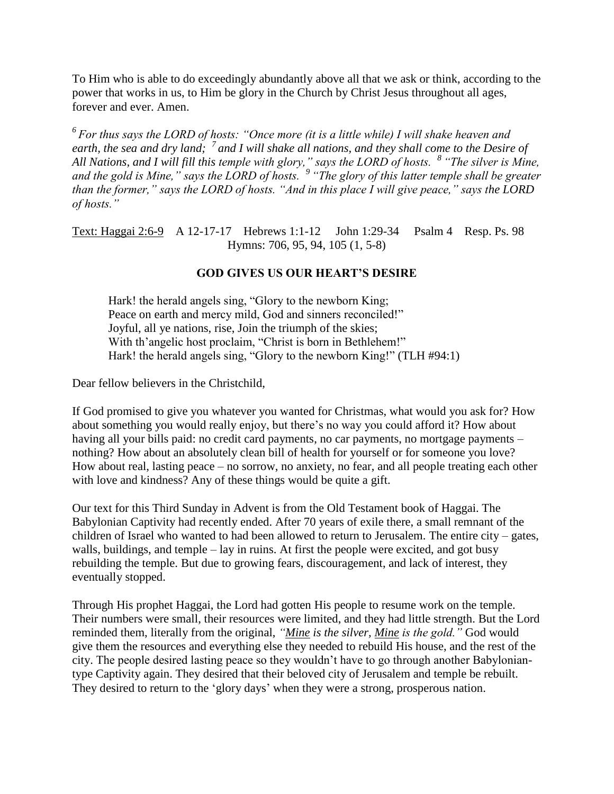To Him who is able to do exceedingly abundantly above all that we ask or think, according to the power that works in us, to Him be glory in the Church by Christ Jesus throughout all ages, forever and ever. Amen.

*<sup>6</sup>For thus says the LORD of hosts: "Once more (it is a little while) I will shake heaven and earth, the sea and dry land; <sup>7</sup>and I will shake all nations, and they shall come to the Desire of All Nations, and I will fill this temple with glory," says the LORD of hosts. <sup>8</sup>"The silver is Mine, and the gold is Mine," says the LORD of hosts. <sup>9</sup>"The glory of this latter temple shall be greater than the former," says the LORD of hosts. "And in this place I will give peace," says the LORD of hosts."*

Text: Haggai 2:6-9 A 12-17-17 Hebrews 1:1-12 John 1:29-34 Psalm 4 Resp. Ps. 98 Hymns: 706, 95, 94, 105 (1, 5-8)

## **GOD GIVES US OUR HEART'S DESIRE**

Hark! the herald angels sing, "Glory to the newborn King; Peace on earth and mercy mild, God and sinners reconciled!" Joyful, all ye nations, rise, Join the triumph of the skies; With th'angelic host proclaim, "Christ is born in Bethlehem!" Hark! the herald angels sing, "Glory to the newborn King!" (TLH #94:1)

Dear fellow believers in the Christchild,

If God promised to give you whatever you wanted for Christmas, what would you ask for? How about something you would really enjoy, but there's no way you could afford it? How about having all your bills paid: no credit card payments, no car payments, no mortgage payments – nothing? How about an absolutely clean bill of health for yourself or for someone you love? How about real, lasting peace – no sorrow, no anxiety, no fear, and all people treating each other with love and kindness? Any of these things would be quite a gift.

Our text for this Third Sunday in Advent is from the Old Testament book of Haggai. The Babylonian Captivity had recently ended. After 70 years of exile there, a small remnant of the children of Israel who wanted to had been allowed to return to Jerusalem. The entire city  $-$  gates, walls, buildings, and temple – lay in ruins. At first the people were excited, and got busy rebuilding the temple. But due to growing fears, discouragement, and lack of interest, they eventually stopped.

Through His prophet Haggai, the Lord had gotten His people to resume work on the temple. Their numbers were small, their resources were limited, and they had little strength. But the Lord reminded them, literally from the original, *"Mine is the silver, Mine is the gold."* God would give them the resources and everything else they needed to rebuild His house, and the rest of the city. The people desired lasting peace so they wouldn't have to go through another Babyloniantype Captivity again. They desired that their beloved city of Jerusalem and temple be rebuilt. They desired to return to the 'glory days' when they were a strong, prosperous nation.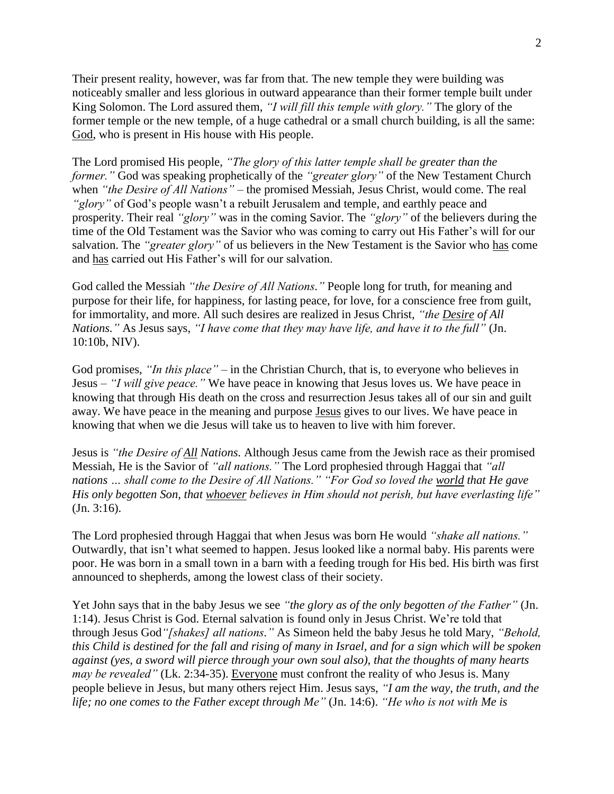Their present reality, however, was far from that. The new temple they were building was noticeably smaller and less glorious in outward appearance than their former temple built under King Solomon. The Lord assured them, *"I will fill this temple with glory."* The glory of the former temple or the new temple, of a huge cathedral or a small church building, is all the same: God, who is present in His house with His people.

The Lord promised His people, *"The glory of this latter temple shall be greater than the former."* God was speaking prophetically of the *"greater glory"* of the New Testament Church when *"the Desire of All Nations"* – the promised Messiah, Jesus Christ, would come. The real *"glory"* of God's people wasn't a rebuilt Jerusalem and temple, and earthly peace and prosperity. Their real *"glory"* was in the coming Savior. The *"glory"* of the believers during the time of the Old Testament was the Savior who was coming to carry out His Father's will for our salvation. The *"greater glory"* of us believers in the New Testament is the Savior who has come and has carried out His Father's will for our salvation.

God called the Messiah *"the Desire of All Nations."* People long for truth, for meaning and purpose for their life, for happiness, for lasting peace, for love, for a conscience free from guilt, for immortality, and more. All such desires are realized in Jesus Christ, *"the Desire of All Nations."* As Jesus says, *"I have come that they may have life, and have it to the full"* (Jn. 10:10b, NIV).

God promises, *"In this place"* – in the Christian Church, that is, to everyone who believes in Jesus – *"I will give peace."* We have peace in knowing that Jesus loves us. We have peace in knowing that through His death on the cross and resurrection Jesus takes all of our sin and guilt away. We have peace in the meaning and purpose Jesus gives to our lives. We have peace in knowing that when we die Jesus will take us to heaven to live with him forever.

Jesus is *"the Desire of All Nations.* Although Jesus came from the Jewish race as their promised Messiah, He is the Savior of *"all nations."* The Lord prophesied through Haggai that *"all nations … shall come to the Desire of All Nations." "For God so loved the world that He gave His only begotten Son, that whoever believes in Him should not perish, but have everlasting life"* (Jn. 3:16).

The Lord prophesied through Haggai that when Jesus was born He would *"shake all nations."* Outwardly, that isn't what seemed to happen. Jesus looked like a normal baby. His parents were poor. He was born in a small town in a barn with a feeding trough for His bed. His birth was first announced to shepherds, among the lowest class of their society.

Yet John says that in the baby Jesus we see *"the glory as of the only begotten of the Father"* (Jn. 1:14). Jesus Christ is God. Eternal salvation is found only in Jesus Christ. We're told that through Jesus God*"[shakes] all nations."* As Simeon held the baby Jesus he told Mary, *"Behold, this Child is destined for the fall and rising of many in Israel, and for a sign which will be spoken against (yes, a sword will pierce through your own soul also), that the thoughts of many hearts may be revealed"* (Lk. 2:34-35). Everyone must confront the reality of who Jesus is. Many people believe in Jesus, but many others reject Him. Jesus says, *"I am the way, the truth, and the life; no one comes to the Father except through Me"* (Jn. 14:6). *"He who is not with Me is*